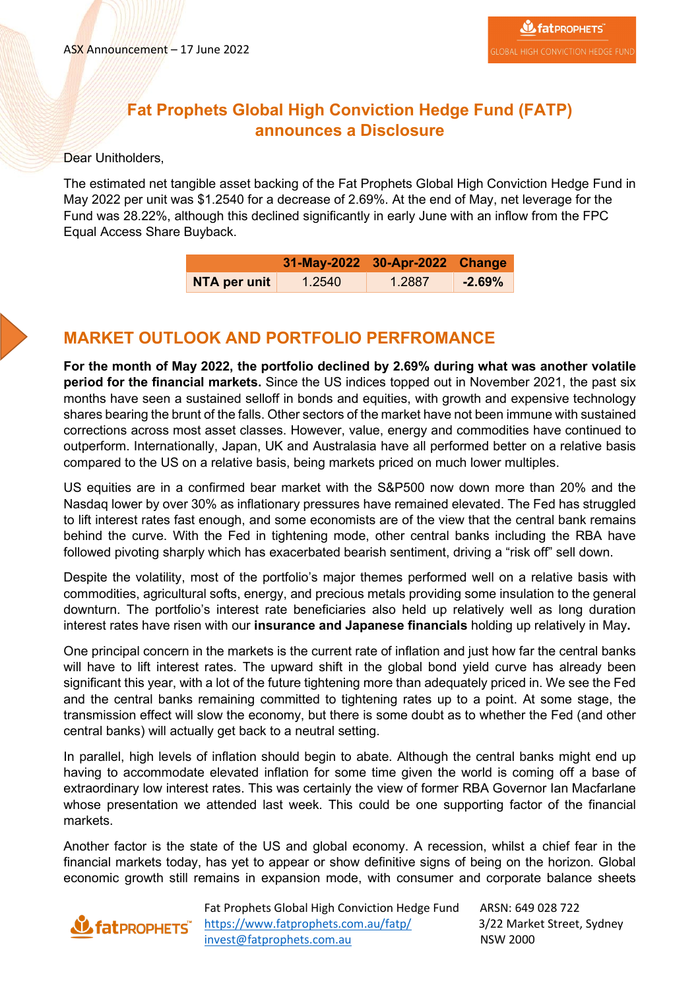## **Fat Prophets Global High Conviction Hedge Fund (FATP) announces a Disclosure**

#### Dear Unitholders,

The estimated net tangible asset backing of the Fat Prophets Global High Conviction Hedge Fund in May 2022 per unit was \$1.2540 for a decrease of 2.69%. At the end of May, net leverage for the Fund was 28.22%, although this declined significantly in early June with an inflow from the FPC Equal Access Share Buyback.

|              | 31-May-2022 30-Apr-2022 Change |        |          |
|--------------|--------------------------------|--------|----------|
| NTA per unit | 1.2540                         | 1.2887 | $-2.69%$ |

### **MARKET OUTLOOK AND PORTFOLIO PERFROMANCE**

**For the month of May 2022, the portfolio declined by 2.69% during what was another volatile period for the financial markets.** Since the US indices topped out in November 2021, the past six months have seen a sustained selloff in bonds and equities, with growth and expensive technology shares bearing the brunt of the falls. Other sectors of the market have not been immune with sustained corrections across most asset classes. However, value, energy and commodities have continued to outperform. Internationally, Japan, UK and Australasia have all performed better on a relative basis compared to the US on a relative basis, being markets priced on much lower multiples.

US equities are in a confirmed bear market with the S&P500 now down more than 20% and the Nasdaq lower by over 30% as inflationary pressures have remained elevated. The Fed has struggled to lift interest rates fast enough, and some economists are of the view that the central bank remains behind the curve. With the Fed in tightening mode, other central banks including the RBA have followed pivoting sharply which has exacerbated bearish sentiment, driving a "risk off" sell down.

Despite the volatility, most of the portfolio's major themes performed well on a relative basis with commodities, agricultural softs, energy, and precious metals providing some insulation to the general downturn. The portfolio's interest rate beneficiaries also held up relatively well as long duration interest rates have risen with our **insurance and Japanese financials** holding up relatively in May**.** 

One principal concern in the markets is the current rate of inflation and just how far the central banks will have to lift interest rates. The upward shift in the global bond yield curve has already been significant this year, with a lot of the future tightening more than adequately priced in. We see the Fed and the central banks remaining committed to tightening rates up to a point. At some stage, the transmission effect will slow the economy, but there is some doubt as to whether the Fed (and other central banks) will actually get back to a neutral setting.

In parallel, high levels of inflation should begin to abate. Although the central banks might end up having to accommodate elevated inflation for some time given the world is coming off a base of extraordinary low interest rates. This was certainly the view of former RBA Governor Ian Macfarlane whose presentation we attended last week. This could be one supporting factor of the financial markets.

Another factor is the state of the US and global economy. A recession, whilst a chief fear in the financial markets today, has yet to appear or show definitive signs of being on the horizon. Global economic growth still remains in expansion mode, with consumer and corporate balance sheets

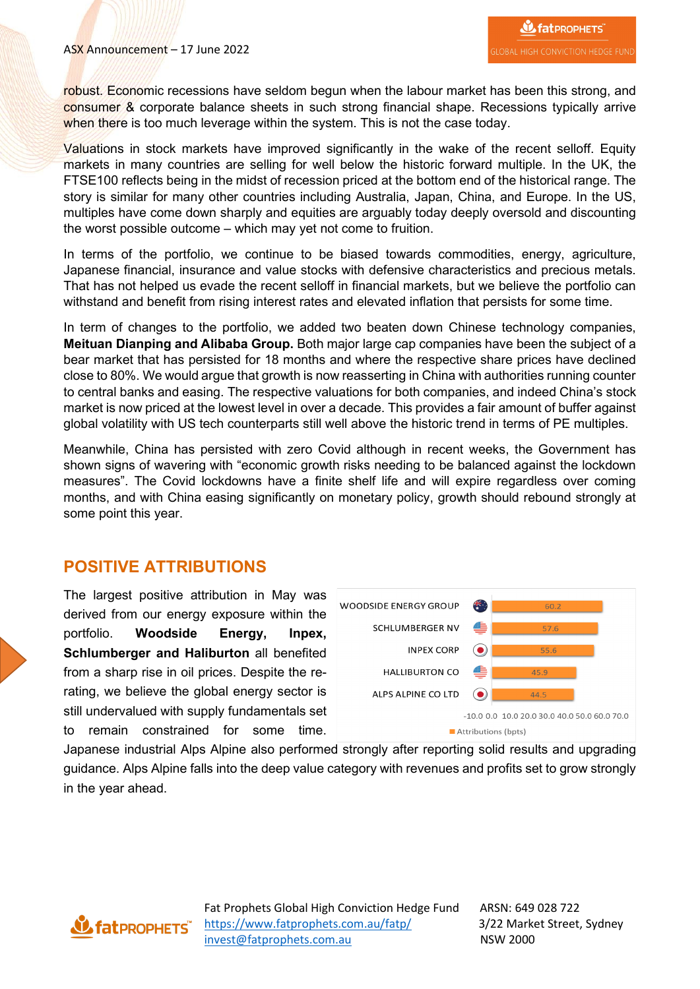robust. Economic recessions have seldom begun when the labour market has been this strong, and consumer & corporate balance sheets in such strong financial shape. Recessions typically arrive when there is too much leverage within the system. This is not the case today.

Valuations in stock markets have improved significantly in the wake of the recent selloff. Equity markets in many countries are selling for well below the historic forward multiple. In the UK, the FTSE100 reflects being in the midst of recession priced at the bottom end of the historical range. The story is similar for many other countries including Australia, Japan, China, and Europe. In the US, multiples have come down sharply and equities are arguably today deeply oversold and discounting the worst possible outcome – which may yet not come to fruition.

In terms of the portfolio, we continue to be biased towards commodities, energy, agriculture, Japanese financial, insurance and value stocks with defensive characteristics and precious metals. That has not helped us evade the recent selloff in financial markets, but we believe the portfolio can withstand and benefit from rising interest rates and elevated inflation that persists for some time.

In term of changes to the portfolio, we added two beaten down Chinese technology companies, **Meituan Dianping and Alibaba Group.** Both major large cap companies have been the subject of a bear market that has persisted for 18 months and where the respective share prices have declined close to 80%. We would argue that growth is now reasserting in China with authorities running counter to central banks and easing. The respective valuations for both companies, and indeed China's stock market is now priced at the lowest level in over a decade. This provides a fair amount of buffer against global volatility with US tech counterparts still well above the historic trend in terms of PE multiples.

Meanwhile, China has persisted with zero Covid although in recent weeks, the Government has shown signs of wavering with "economic growth risks needing to be balanced against the lockdown measures". The Covid lockdowns have a finite shelf life and will expire regardless over coming months, and with China easing significantly on monetary policy, growth should rebound strongly at some point this year.

### **POSITIVE ATTRIBUTIONS**

The largest positive attribution in May was derived from our energy exposure within the portfolio. **Woodside Energy, Inpex, Schlumberger and Haliburton** all benefited from a sharp rise in oil prices. Despite the rerating, we believe the global energy sector is still undervalued with supply fundamentals set to remain constrained for some time.



Japanese industrial Alps Alpine also performed strongly after reporting solid results and upgrading guidance. Alps Alpine falls into the deep value category with revenues and profits set to grow strongly in the year ahead.

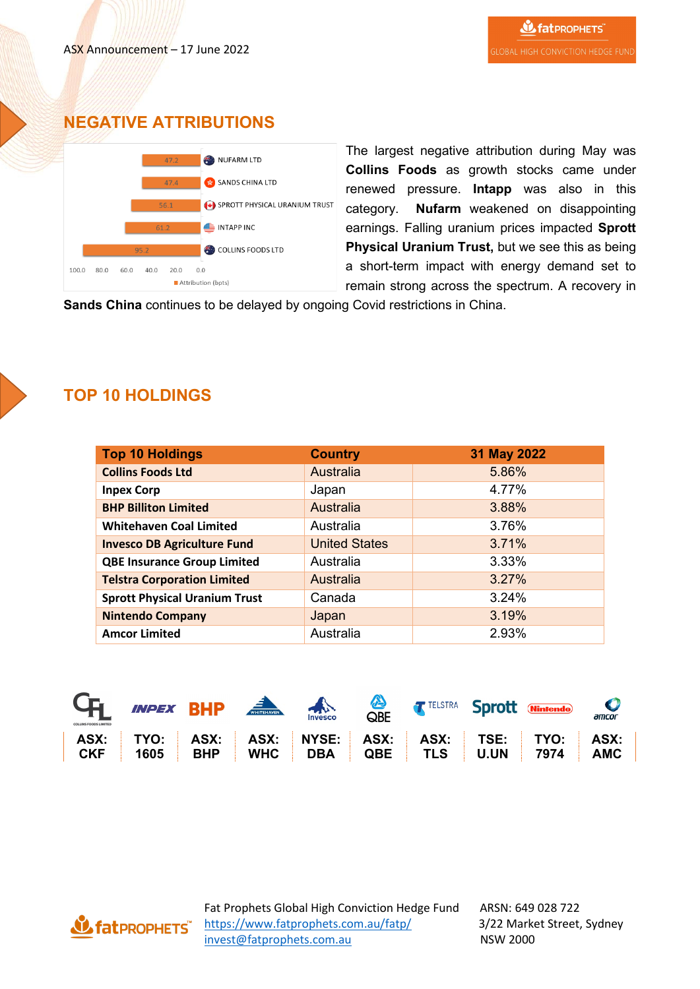## **NEGATIVE ATTRIBUTIONS**



The largest negative attribution during May was **Collins Foods** as growth stocks came under renewed pressure. **Intapp** was also in this category. **Nufarm** weakened on disappointing earnings. Falling uranium prices impacted **Sprott Physical Uranium Trust,** but we see this as being a short-term impact with energy demand set to remain strong across the spectrum. A recovery in

**Sands China** continues to be delayed by ongoing Covid restrictions in China.



# **TOP 10 HOLDINGS**

| <b>Top 10 Holdings</b>               | <b>Country</b>       | 31 May 2022 |
|--------------------------------------|----------------------|-------------|
| <b>Collins Foods Ltd</b>             | Australia            | 5.86%       |
| <b>Inpex Corp</b>                    | Japan                | 4.77%       |
| <b>BHP Billiton Limited</b>          | Australia            | 3.88%       |
| <b>Whitehaven Coal Limited</b>       | Australia            | 3.76%       |
| <b>Invesco DB Agriculture Fund</b>   | <b>United States</b> | 3.71%       |
| <b>QBE Insurance Group Limited</b>   | Australia            | 3.33%       |
| <b>Telstra Corporation Limited</b>   | Australia            | 3.27%       |
| <b>Sprott Physical Uranium Trust</b> | Canada               | 3.24%       |
| <b>Nintendo Company</b>              | Japan                | 3.19%       |
| <b>Amcor Limited</b>                 | Australia            | 2.93%       |



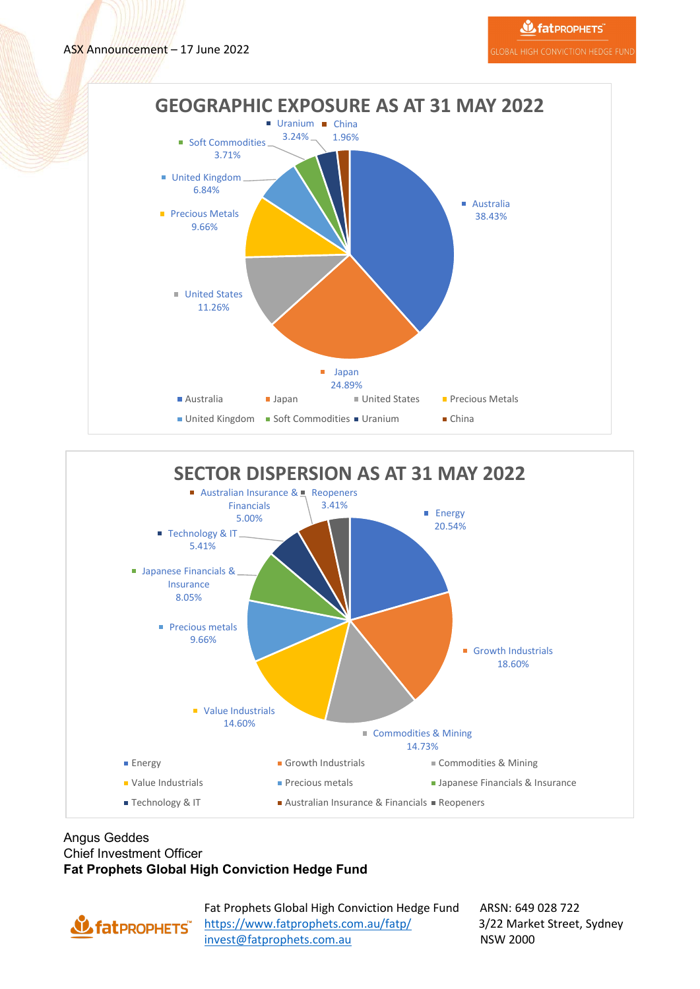



#### Angus Geddes Chief Investment Officer **Fat Prophets Global High Conviction Hedge Fund**